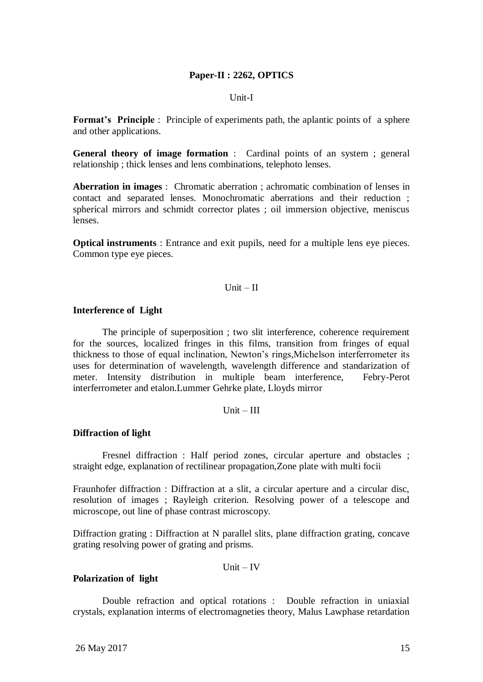## **Paper-II : 2262, OPTICS**

#### Unit-I

**Format's Principle** : Principle of experiments path, the aplantic points of a sphere and other applications.

**General theory of image formation** : Cardinal points of an system ; general relationship ; thick lenses and lens combinations, telephoto lenses.

**Aberration in images** : Chromatic aberration ; achromatic combination of lenses in contact and separated lenses. Monochromatic aberrations and their reduction ; spherical mirrors and schmidt corrector plates ; oil immersion objective, meniscus lenses.

**Optical instruments** : Entrance and exit pupils, need for a multiple lens eye pieces. Common type eye pieces.

## $Unit - II$

#### **Interference of Light**

The principle of superposition ; two slit interference, coherence requirement for the sources, localized fringes in this films, transition from fringes of equal thickness to those of equal inclination, Newton"s rings,Michelson interferrometer its uses for determination of wavelength, wavelength difference and standarization of meter. Intensity distribution in multiple beam interference, Febry-Perot interferrometer and etalon.Lummer Gehrke plate, Lloyds mirror

### $Unit - III$

#### **Diffraction of light**

Fresnel diffraction : Half period zones, circular aperture and obstacles ; straight edge, explanation of rectilinear propagation,Zone plate with multi focii

Fraunhofer diffraction : Diffraction at a slit, a circular aperture and a circular disc, resolution of images ; Rayleigh criterion. Resolving power of a telescope and microscope, out line of phase contrast microscopy.

Diffraction grating : Diffraction at N parallel slits, plane diffraction grating, concave grating resolving power of grating and prisms.

 $Unit - IV$ 

#### **Polarization of light**

Double refraction and optical rotations : Double refraction in uniaxial crystals, explanation interms of electromagneties theory, Malus Lawphase retardation